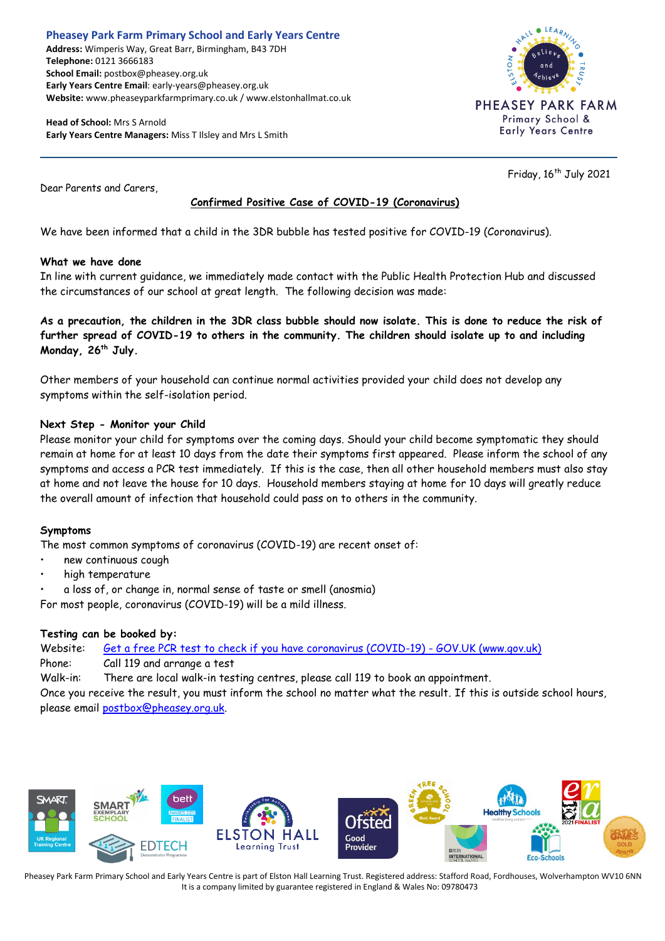#### **Pheasey Park Farm Primary School and Early Years Centre Address:** Wimperis Way, Great Barr, Birmingham, B43 7DH **Telephone:** 0121 3666183 **School Email:** postbox@pheasey.org.uk **Early Years Centre Email**: early-years@pheasey.org.uk **Website:** www.pheaseyparkfarmprimary.co.uk / www.elstonhallmat.co.uk

**Head of School:** Mrs S Arnold **Early Years Centre Managers:** Miss T Ilsley and Mrs L Smith



Friday, 16<sup>th</sup> July 2021

Dear Parents and Carers,

# **Confirmed Positive Case of COVID-19 (Coronavirus)**

We have been informed that a child in the 3DR bubble has tested positive for COVID-19 (Coronavirus).

### **What we have done**

In line with current guidance, we immediately made contact with the Public Health Protection Hub and discussed the circumstances of our school at great length. The following decision was made:

**As a precaution, the children in the 3DR class bubble should now isolate. This is done to reduce the risk of further spread of COVID-19 to others in the community. The children should isolate up to and including Monday, 26 th July.** 

Other members of your household can continue normal activities provided your child does not develop any symptoms within the self-isolation period.

### **Next Step - Monitor your Child**

Please monitor your child for symptoms over the coming days. Should your child become symptomatic they should remain at home for at least 10 days from the date their symptoms first appeared. Please inform the school of any symptoms and access a PCR test immediately. If this is the case, then all other household members must also stay at home and not leave the house for 10 days. Household members staying at home for 10 days will greatly reduce the overall amount of infection that household could pass on to others in the community.

## **Symptoms**

The most common symptoms of coronavirus (COVID-19) are recent onset of:

- new continuous cough
- high temperature
- a loss of, or change in, normal sense of taste or smell (anosmia)

For most people, coronavirus (COVID-19) will be a mild illness.

## **Testing can be booked by:**

Website: [Get a free PCR test to check if you have coronavirus \(COVID-19\) -](https://www.gov.uk/get-coronavirus-test) GOV.UK (www.gov.uk) Phone: Call 119 and arrange a test Walk-in: There are local walk-in testing centres, please call 119 to book an appointment.

Once you receive the result, you must inform the school no matter what the result. If this is outside school hours, please email [postbox@pheasey.org.uk.](mailto:postbox@pheasey.org.uk)



Pheasey Park Farm Primary School and Early Years Centre is part of Elston Hall Learning Trust. Registered address: Stafford Road, Fordhouses, Wolverhampton WV10 6NN It is a company limited by guarantee registered in England & Wales No: 09780473